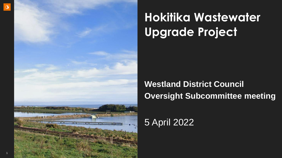

# **Hokitika Wastewater Upgrade Project**

### **Westland District Council Oversight Subcommittee meeting**

### 5 April 2022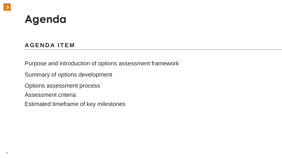### **Agenda**

### **A G E N D A I T E M**

Purpose and introduction of options assessment framework

Summary of options development

Options assessment process

Assessment criteria

Estimated timeframe of key milestones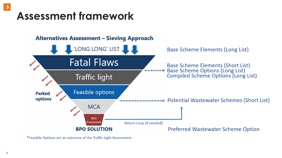### **Assessment framework**



\*Feasible Options are an outcome of the Traffic Light Assessment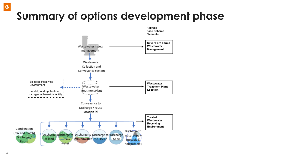## **Summary of options development phase**



 $\circledcirc$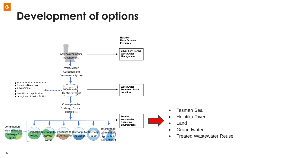

 $\circledcirc$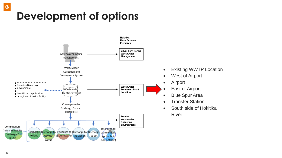

 $\circledcirc$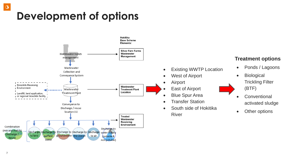

#### **Treatment options**

- Ponds / Lagoons
- **Biological** Trickling Filter (BTF)
- **Conventional** activated sludge
- Other options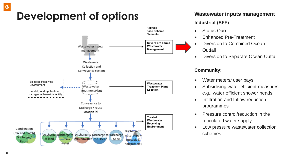

#### **Wastewater inputs management**

#### **Industrial (SFF)**

- Status Quo
- Enhanced Pre-Treatment
- Diversion to Combined Ocean **Outfall**
- Diversion to Separate Ocean Outfall

#### **Community:**

- Water meters*/* user pays
- Subsidising water efficient measures e.g., water efficient shower heads
- Infiltration and Inflow reduction programmes
- Pressure control/reduction in the reticulated water supply
- Low pressure wastewater collection schemes.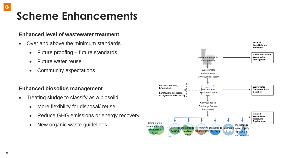# **Scheme Enhancements**

#### **Enhanced level of wastewater treatment**

- Over and above the minimum standards
	- Future proofing future standards
	- Future water reuse
	- Community expectations

#### **Enhanced biosolids management**

- Treating sludge to classify as a biosolid
	- More flexibility for disposal/ reuse
	- Reduce GHG emissions or energy recovery
	- New organic waste guidelines

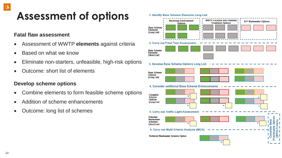### **Assessment of options**

#### **Fatal flaw assessment**

- Assessment of WWTP **elements** against criteria
- Based on what we know
- Eliminate non-starters, unfeasible, high-risk options
- Outcome: short list of elements

#### **Develop scheme options**

- Combine elements to form feasible scheme options
- Addition of scheme enhancements
- Outcome: long list of schemes

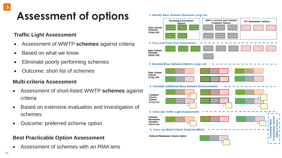### **Assessment of options**

#### **Traffic Light Assessment**

- Assessment of WWTP **schemes** against criteria
- Based on what we know
- Eliminate poorly performing schemes
- Outcome: short list of schemes

#### **Multi-criteria Assessment**

- Assessment of short-listed WWTP **schemes** against criteria
- Based on extensive evaluation and investigation of schemes
- Outcome: preferred scheme option

### **Best Practicable Option Assessment**

• Assessment of schemes with an RMA lens

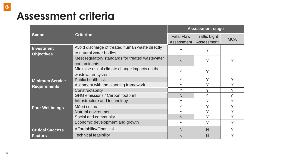## **Assessment criteria**

|                                               |                                                                             |                                 | <b>Assessment stage</b>            |            |
|-----------------------------------------------|-----------------------------------------------------------------------------|---------------------------------|------------------------------------|------------|
| <b>Scope</b>                                  | <b>Criterion</b>                                                            | <b>Fatal Flaw</b><br>Assessment | <b>Traffic Light</b><br>Assessment | <b>MCA</b> |
| <b>Investment</b><br><b>Objectives</b>        | Avoid discharge of treated human waste directly<br>to natural water bodies. | Y                               | Y                                  |            |
|                                               | Meet regulatory standards for treated wastewater<br>contaminants            | $\mathsf{N}$                    |                                    | Y          |
|                                               | Minimise risk of climate change impacts on the<br>wastewater system.        | Y                               | Y                                  |            |
| <b>Minimum Service</b><br><b>Requirements</b> | Public health risk                                                          | Y                               | Y                                  | Y          |
|                                               | Alignment with the planning framework                                       | Y                               | Y                                  | Y          |
|                                               | Constructability                                                            | Y                               | $\checkmark$                       | Y          |
|                                               | <b>GHG emissions / Carbon footprint</b>                                     | N                               | Y                                  | Y          |
|                                               | Infrastructure and technology                                               | Y                               | Υ                                  | Y          |
| <b>Four Wellbeings</b>                        | Māori cultural                                                              | Y                               | V                                  | Y          |
|                                               | Natural environment                                                         | Y                               | Y                                  | Y          |
|                                               | Social and community                                                        | $\mathsf{N}$                    | Y                                  | Y          |
|                                               | Economic development and growth                                             | Y                               | Y                                  | Y          |
| <b>Critical Success</b><br><b>Factors</b>     | Affordability/Financial                                                     | $\mathsf{N}$                    | N                                  | Y          |
|                                               | <b>Technical feasibility</b>                                                | N                               | N                                  | Y          |

 $\circ$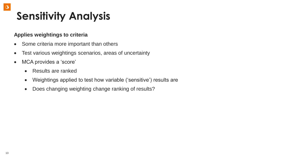### **Sensitivity Analysis**

#### **Applies weightings to criteria**

- Some criteria more important than others
- Test various weightings scenarios, areas of uncertainty
- MCA provides a 'score'
	- Results are ranked
	- Weightings applied to test how variable ('sensitive') results are
	- Does changing weighting change ranking of results?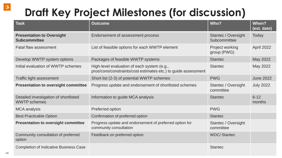## **Draft Key Project Milestones (for discussion)**

| <b>Task</b>                                                  | <b>Outcome</b>                                                                                                | Who?                                | When?<br>(est. date) |
|--------------------------------------------------------------|---------------------------------------------------------------------------------------------------------------|-------------------------------------|----------------------|
| <b>Presentation to Oversight</b><br><b>Subcommittee</b>      | Endorsement of assessment process                                                                             | Stantec / Oversight<br>Subcommittee | Today                |
| <b>Fatal flaw assessment</b>                                 | List of feasible options for each WWTP element                                                                | Project working<br>group (PWG)      | April 2022           |
| Develop WWTP system options                                  | Packages of feasible WWTP systems                                                                             | <b>Stantec</b>                      | May 2022             |
| Initial evaluation of WWTP schemes                           | High-level evaluation of each system (e.g.,<br>pros/cons/constraints/cost estimates etc.) to guide assessment | <b>Stantec</b>                      | May 2022             |
| <b>Traffic light assessment</b>                              | Short list (2-3) of potential WWTP schemes                                                                    | <b>PWG</b>                          | <b>June 2022</b>     |
| <b>Presentation to oversight committee</b>                   | Progress update and endorsement of shortlisted schemes                                                        | Stantec / Oversight<br>committee    | <b>July 2022</b>     |
| Detailed investigation of shortlisted<br><b>WWTP schemes</b> | Information to guide MCA analysis                                                                             | <b>Stantec</b>                      | $6 - 12$<br>months   |
| <b>MCA analysis</b>                                          | Preferred option                                                                                              | <b>PWG</b>                          |                      |
| <b>Best Practicable Option</b>                               | Confirmation of preferred option                                                                              | <b>Stantec</b>                      |                      |
| <b>Presentation to oversight committee</b>                   | Progress update and endorsement of preferred option for<br>community consultation                             | Stantec / Oversight<br>committee    |                      |
| Community consultation of preferred<br>option                | Feedback on preferred option                                                                                  | <b>WDC/Stantec</b>                  |                      |
| <b>Completion of Indicative Business Case</b>                |                                                                                                               | <b>Stantec</b>                      |                      |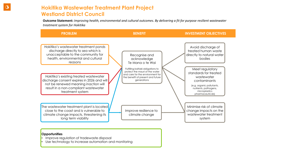#### **Hokitika Wastewater Treatment Plant Project Westland District Council**

**Outcome Statement:** *Improving health, environmental and cultural outcomes. By delivering a fit for purpose resilient wastewater treatment system for Hokitika*



#### **Opportunities**

- Improve regulation of tradewaste disposal
- Use technology to increase automation and monitoring